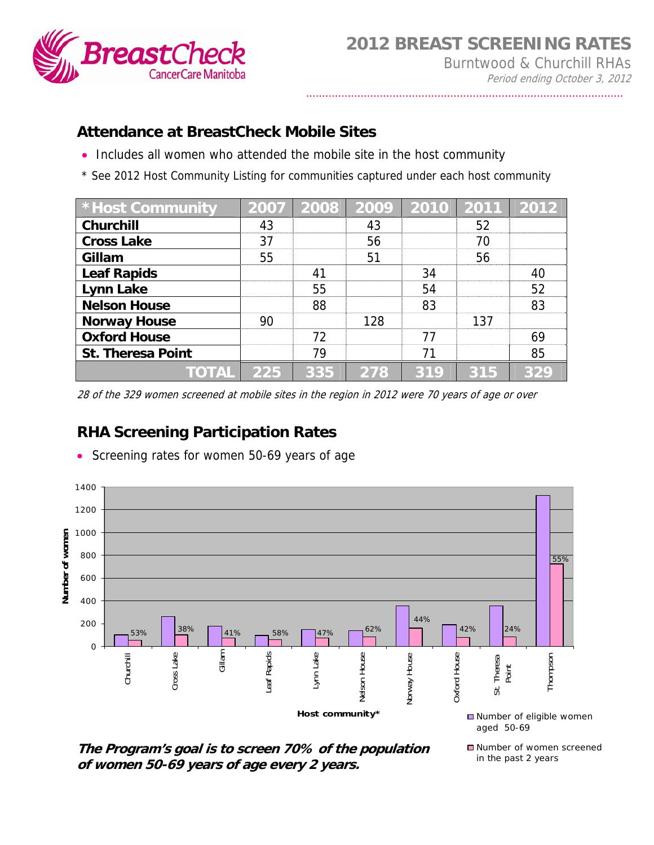

## **Attendance at BreastCheck Mobile Sites**

- Includes all women who attended the mobile site in the host community
- \* See 2012 Host Community Listing for communities captured under each host community

| <b>* Host Community</b>  | 2007 | 2008 | 2009 | 2010 | $\begin{array}{c} \end{array} \begin{array}{c} \text{2011} \end{array}$ | 2012 |
|--------------------------|------|------|------|------|-------------------------------------------------------------------------|------|
| Churchill                | 43   |      | 43   |      | 52                                                                      |      |
| <b>Cross Lake</b>        | 37   |      | 56   |      | 70                                                                      |      |
| Gillam                   | 55   |      | 51   |      | 56                                                                      |      |
| <b>Leaf Rapids</b>       |      | 41   |      | 34   |                                                                         | 40   |
| Lynn Lake                |      | 55   |      | 54   |                                                                         | 52   |
| <b>Nelson House</b>      |      | 88   |      | 83   |                                                                         | 83   |
| <b>Norway House</b>      | 90   |      | 128  |      | 137                                                                     |      |
| <b>Oxford House</b>      |      | 72   |      | 77   |                                                                         | 69   |
| <b>St. Theresa Point</b> |      | 79   |      | 71   |                                                                         | 85   |
| <b>TOTAL</b>             | 225  | 335  | 278  | 319  | 315                                                                     | 329  |

28 of the 329 women screened at mobile sites in the region in 2012 were 70 years of age or over

## **RHA Screening Participation Rates**



• Screening rates for women 50-69 years of age

**The Program's goal is to screen 70% of the population of women 50-69 years of age every 2 years.**

■ Number of women screened in the past 2 years